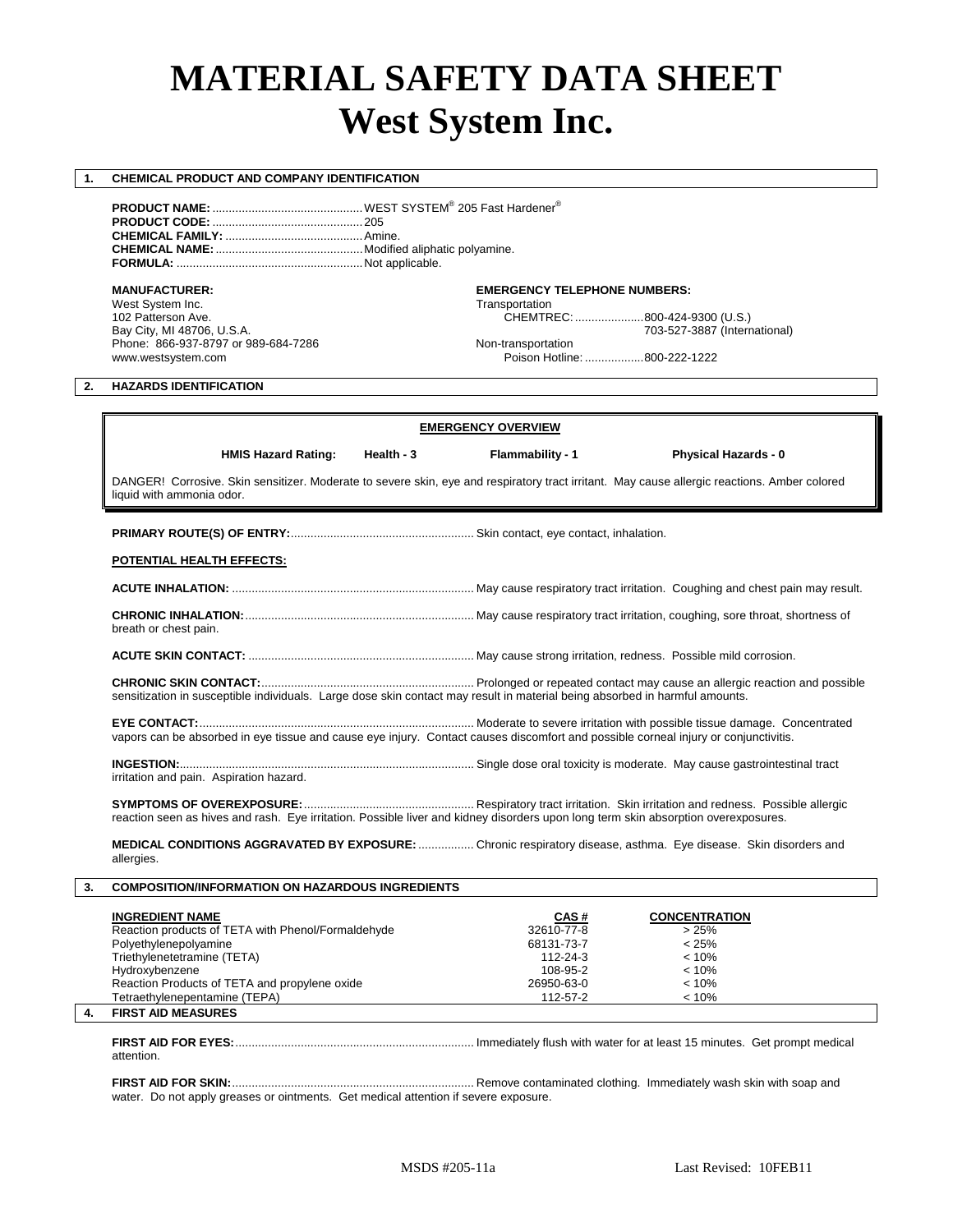# **MATERIAL SAFETY DATA SHEET West System Inc.**

# **1. CHEMICAL PRODUCT AND COMPANY IDENTIFICATION**

**PRODUCT NAME:** ..............................................WEST SYSTEM® 205 Fast Hardener® **PRODUCT CODE:** ..............................................205 **CHEMICAL FAMILY:** ..........................................Amine. **CHEMICAL NAME:**.............................................Modified aliphatic polyamine. **FORMULA:** .........................................................Not applicable.

West System Inc. Transportation<br>102 Patterson Ave. The CHEMTR CHEMTR Phone: 866-937-8797 or 989-684-7286 Non-transportation<br>www.westsystem.com example are proportional proportion of Poison Hotline

# **MANUFACTURER: EMERGENCY TELEPHONE NUMBERS:**

102 Patterson Ave. CHEMTREC: .....................800-424-9300 (U.S.) 703-527-3887 (International)

Poison Hotline: ..................800-222-1222

# **2. HAZARDS IDENTIFICATION**

**EMERGENCY OVERVIEW**

 **HMIS Hazard Rating: Health - 3 Flammability - 1 Physical Hazards - 0**

DANGER! Corrosive. Skin sensitizer. Moderate to severe skin, eye and respiratory tract irritant. May cause allergic reactions. Amber colored liquid with ammonia odor.

**PRIMARY ROUTE(S) OF ENTRY:**........................................................ Skin contact, eye contact, inhalation.

### **POTENTIAL HEALTH EFFECTS:**

| breath or chest pain. |  |
|-----------------------|--|

**ACUTE SKIN CONTACT:** ..................................................................... May cause strong irritation, redness. Possible mild corrosion.

**CHRONIC SKIN CONTACT:**................................................................. Prolonged or repeated contact may cause an allergic reaction and possible sensitization in susceptible individuals. Large dose skin contact may result in material being absorbed in harmful amounts.

**EYE CONTACT:**.................................................................................... Moderate to severe irritation with possible tissue damage. Concentrated vapors can be absorbed in eye tissue and cause eye injury. Contact causes discomfort and possible corneal injury or conjunctivitis.

**INGESTION:**.......................................................................................... Single dose oral toxicity is moderate. May cause gastrointestinal tract irritation and pain. Aspiration hazard.

**SYMPTOMS OF OVEREXPOSURE:**.................................................... Respiratory tract irritation. Skin irritation and redness. Possible allergic reaction seen as hives and rash. Eye irritation. Possible liver and kidney disorders upon long term skin absorption overexposures.

**MEDICAL CONDITIONS AGGRAVATED BY EXPOSURE:**................. Chronic respiratory disease, asthma. Eye disease. Skin disorders and allergies.

**3. COMPOSITION/INFORMATION ON HAZARDOUS INGREDIENTS** 

| <b>INGREDIENT NAME</b>                             | CAS#       | <b>CONCENTRATION</b> |
|----------------------------------------------------|------------|----------------------|
| Reaction products of TETA with Phenol/Formaldehyde | 32610-77-8 | >25%                 |
| Polyethylenepolyamine                              | 68131-73-7 | < 25%                |
| Triethylenetetramine (TETA)                        | 112-24-3   | $< 10\%$             |
| Hydroxybenzene                                     | 108-95-2   | < 10%                |
| Reaction Products of TETA and propylene oxide      | 26950-63-0 | < 10%                |
| Tetraethylenepentamine (TEPA)                      | 112-57-2   | < 10%                |
| <b>EIDST AIN MEASHDES</b>                          |            |                      |

**4. FIRST AID MEASURES**

**FIRST AID FOR EYES:**......................................................................... Immediately flush with water for at least 15 minutes. Get prompt medical attention.

**FIRST AID FOR SKIN:**.......................................................................... Remove contaminated clothing. Immediately wash skin with soap and water. Do not apply greases or ointments. Get medical attention if severe exposure.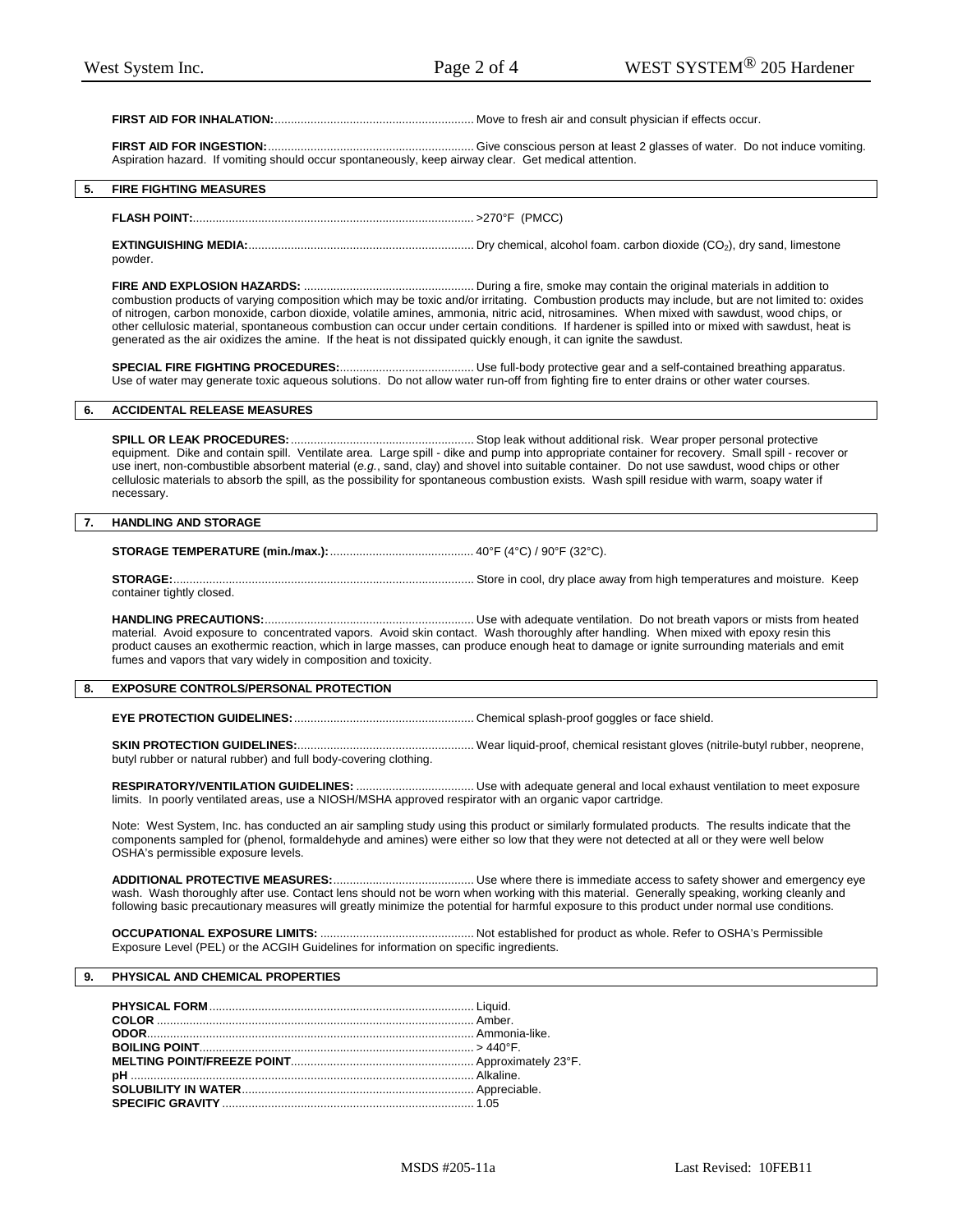# **FIRST AID FOR INHALATION:**............................................................. Move to fresh air and consult physician if effects occur.

**FIRST AID FOR INGESTION:**............................................................... Give conscious person at least 2 glasses of water. Do not induce vomiting. Aspiration hazard. If vomiting should occur spontaneously, keep airway clear. Get medical attention.

# **5. FIRE FIGHTING MEASURES**

# **FLASH POINT:**...................................................................................... >270°F (PMCC)

**EXTINGUISHING MEDIA:**..................................................................... Dry chemical, alcohol foam. carbon dioxide (CO2), dry sand, limestone powder.

**FIRE AND EXPLOSION HAZARDS:** .................................................... During a fire, smoke may contain the original materials in addition to combustion products of varying composition which may be toxic and/or irritating. Combustion products may include, but are not limited to: oxides of nitrogen, carbon monoxide, carbon dioxide, volatile amines, ammonia, nitric acid, nitrosamines. When mixed with sawdust, wood chips, or other cellulosic material, spontaneous combustion can occur under certain conditions. If hardener is spilled into or mixed with sawdust, heat is generated as the air oxidizes the amine. If the heat is not dissipated quickly enough, it can ignite the sawdust.

**SPECIAL FIRE FIGHTING PROCEDURES:**......................................... Use full-body protective gear and a self-contained breathing apparatus. Use of water may generate toxic aqueous solutions. Do not allow water run-off from fighting fire to enter drains or other water courses.

# **6. ACCIDENTAL RELEASE MEASURES**

**SPILL OR LEAK PROCEDURES:**........................................................ Stop leak without additional risk. Wear proper personal protective equipment. Dike and contain spill. Ventilate area. Large spill - dike and pump into appropriate container for recovery. Small spill - recover or use inert, non-combustible absorbent material (*e.g.*, sand, clay) and shovel into suitable container. Do not use sawdust, wood chips or other cellulosic materials to absorb the spill, as the possibility for spontaneous combustion exists. Wash spill residue with warm, soapy water if necessary.

### **7. HANDLING AND STORAGE**

**STORAGE TEMPERATURE (min./max.):**............................................ 40°F (4°C) / 90°F (32°C).

**STORAGE:**............................................................................................ Store in cool, dry place away from high temperatures and moisture. Keep container tightly closed.

**HANDLING PRECAUTIONS:**................................................................ Use with adequate ventilation. Do not breath vapors or mists from heated material. Avoid exposure to concentrated vapors. Avoid skin contact. Wash thoroughly after handling. When mixed with epoxy resin this product causes an exothermic reaction, which in large masses, can produce enough heat to damage or ignite surrounding materials and emit fumes and vapors that vary widely in composition and toxicity.

# **8. EXPOSURE CONTROLS/PERSONAL PROTECTION**

**EYE PROTECTION GUIDELINES:**....................................................... Chemical splash-proof goggles or face shield.

**SKIN PROTECTION GUIDELINES:**...................................................... Wear liquid-proof, chemical resistant gloves (nitrile-butyl rubber, neoprene, butyl rubber or natural rubber) and full body-covering clothing.

**RESPIRATORY/VENTILATION GUIDELINES:** .................................... Use with adequate general and local exhaust ventilation to meet exposure limits. In poorly ventilated areas, use a NIOSH/MSHA approved respirator with an organic vapor cartridge.

Note: West System, Inc. has conducted an air sampling study using this product or similarly formulated products. The results indicate that the components sampled for (phenol, formaldehyde and amines) were either so low that they were not detected at all or they were well below OSHA's permissible exposure levels.

**ADDITIONAL PROTECTIVE MEASURES:**........................................... Use where there is immediate access to safety shower and emergency eye wash. Wash thoroughly after use. Contact lens should not be worn when working with this material. Generally speaking, working cleanly and following basic precautionary measures will greatly minimize the potential for harmful exposure to this product under normal use conditions.

**OCCUPATIONAL EXPOSURE LIMITS:** ............................................... Not established for product as whole. Refer to OSHA's Permissible Exposure Level (PEL) or the ACGIH Guidelines for information on specific ingredients.

# **9. PHYSICAL AND CHEMICAL PROPERTIES**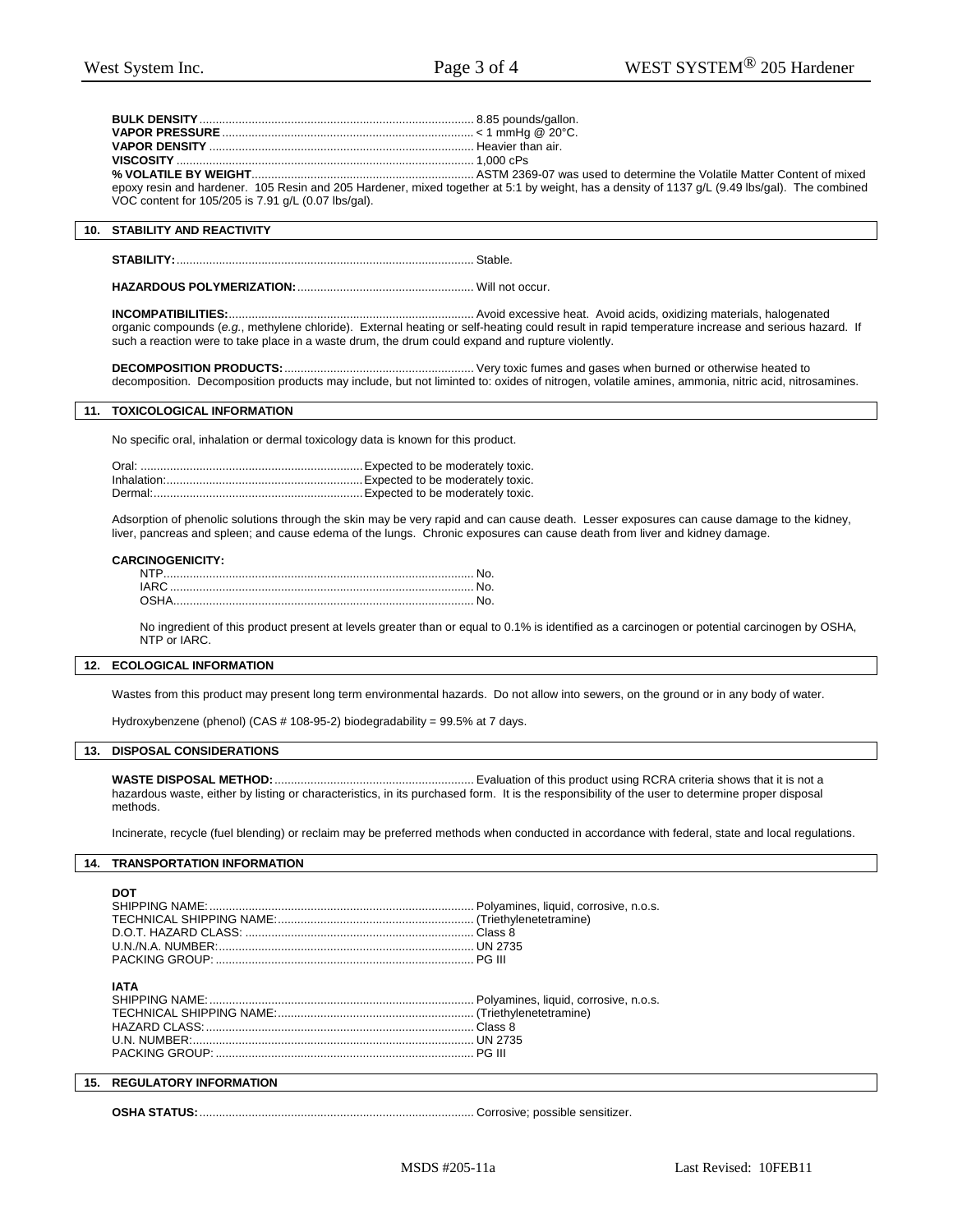|                                                     | epoxy resin and hardener. 105 Resin and 205 Hardener, mixed together at 5:1 by weight, has a density of 1137 g/L (9.49 lbs/gal). The combined |
|-----------------------------------------------------|-----------------------------------------------------------------------------------------------------------------------------------------------|
| VOC content for 105/205 is 7.91 q/L (0.07 lbs/gal). |                                                                                                                                               |

# **10. STABILITY AND REACTIVITY**

**STABILITY:**........................................................................................... Stable.

**HAZARDOUS POLYMERIZATION:**...................................................... Will not occur.

**INCOMPATIBILITIES:**........................................................................... Avoid excessive heat. Avoid acids, oxidizing materials, halogenated organic compounds (*e.g.*, methylene chloride). External heating or self-heating could result in rapid temperature increase and serious hazard. If such a reaction were to take place in a waste drum, the drum could expand and rupture violently.

**DECOMPOSITION PRODUCTS:**.......................................................... Very toxic fumes and gases when burned or otherwise heated to decomposition. Decomposition products may include, but not liminted to: oxides of nitrogen, volatile amines, ammonia, nitric acid, nitrosamines.

# **11. TOXICOLOGICAL INFORMATION**

No specific oral, inhalation or dermal toxicology data is known for this product.

Adsorption of phenolic solutions through the skin may be very rapid and can cause death. Lesser exposures can cause damage to the kidney, liver, pancreas and spleen; and cause edema of the lungs. Chronic exposures can cause death from liver and kidney damage.

### **CARCINOGENICITY:**

| NTP |  |
|-----|--|
|     |  |
|     |  |

No ingredient of this product present at levels greater than or equal to 0.1% is identified as a carcinogen or potential carcinogen by OSHA, NTP or IARC.

# **12. ECOLOGICAL INFORMATION**

Wastes from this product may present long term environmental hazards. Do not allow into sewers, on the ground or in any body of water.

Hydroxybenzene (phenol) (CAS # 108-95-2) biodegradability = 99.5% at 7 days.

### **13. DISPOSAL CONSIDERATIONS**

**WASTE DISPOSAL METHOD:**............................................................. Evaluation of this product using RCRA criteria shows that it is not a hazardous waste, either by listing or characteristics, in its purchased form. It is the responsibility of the user to determine proper disposal methods.

Incinerate, recycle (fuel blending) or reclaim may be preferred methods when conducted in accordance with federal, state and local regulations.

# **14. TRANSPORTATION INFORMATION**

**DOT** 

| <b>IATA</b> |  |
|-------------|--|
|             |  |
|             |  |
|             |  |
|             |  |

# **15. REGULATORY INFORMATION**

**OSHA STATUS:**.................................................................................... Corrosive; possible sensitizer.